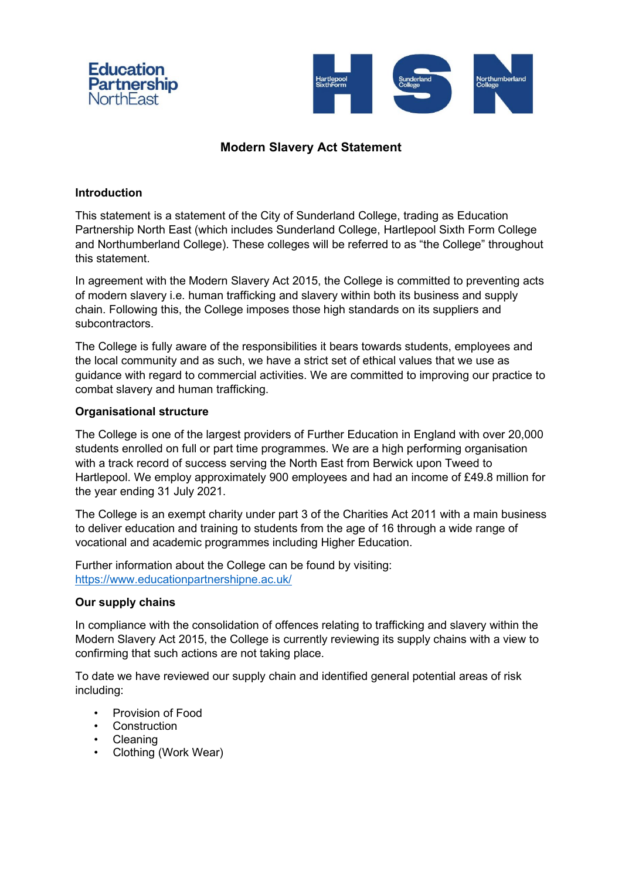



# **Modern Slavery Act Statement**

## **Introduction**

This statement is a statement of the City of Sunderland College, trading as Education Partnership North East (which includes Sunderland College, Hartlepool Sixth Form College and Northumberland College). These colleges will be referred to as "the College" throughout this statement.

In agreement with the Modern Slavery Act 2015, the College is committed to preventing acts of modern slavery i.e. human trafficking and slavery within both its business and supply chain. Following this, the College imposes those high standards on its suppliers and subcontractors.

The College is fully aware of the responsibilities it bears towards students, employees and the local community and as such, we have a strict set of ethical values that we use as guidance with regard to commercial activities. We are committed to improving our practice to combat slavery and human trafficking.

#### **Organisational structure**

The College is one of the largest providers of Further Education in England with over 20,000 students enrolled on full or part time programmes. We are a high performing organisation with a track record of success serving the North East from Berwick upon Tweed to Hartlepool. We employ approximately 900 employees and had an income of £49.8 million for the year ending 31 July 2021.

The College is an exempt charity under part 3 of the Charities Act 2011 with a main business to deliver education and training to students from the age of 16 through a wide range of vocational and academic programmes including Higher Education.

Further information about the College can be found by visiting: https://www.educationpartnershipne.ac.uk/

#### **Our supply chains**

In compliance with the consolidation of offences relating to trafficking and slavery within the Modern Slavery Act 2015, the College is currently reviewing its supply chains with a view to confirming that such actions are not taking place.

To date we have reviewed our supply chain and identified general potential areas of risk including:

- Provision of Food
- Construction
- **Cleaning**
- Clothing (Work Wear)